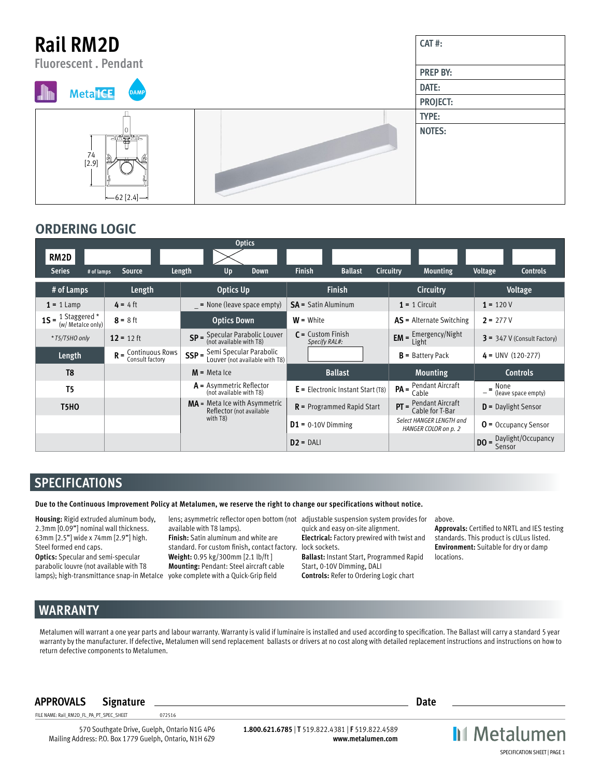| <b>Rail RM2D</b><br><b>Fluorescent</b> . Pendant                      | CAT#:           |
|-----------------------------------------------------------------------|-----------------|
|                                                                       | <b>PREP BY:</b> |
| <b>Meta<sup>ICE</sup></b><br>DAMP                                     | DATE:           |
|                                                                       | PROJECT:        |
|                                                                       | TYPE:           |
| <u>ng Spic</u><br>74<br>⊠<br>ſÞ<br>[2.9]<br>$-62$ [2.4] $\rightarrow$ | <b>NOTES:</b>   |

### **ORDERING LOGIC**

|                                                     |                       | <b>Optics</b>                                                        |                                      |                                                  |                                          |
|-----------------------------------------------------|-----------------------|----------------------------------------------------------------------|--------------------------------------|--------------------------------------------------|------------------------------------------|
| RM <sub>2</sub> D                                   |                       |                                                                      |                                      |                                                  |                                          |
| <b>Series</b><br># of lamps                         | <b>Source</b>         | Length<br>Up<br><b>Down</b>                                          | <b>Finish</b><br><b>Ballast</b>      | <b>Circuitry</b><br><b>Mounting</b>              | Voltage<br><b>Controls</b>               |
| # of Lamps                                          | Length                | <b>Optics Up</b>                                                     | <b>Finish</b>                        | Circuitry                                        | <b>Voltage</b>                           |
| $1 = 1$ Lamp                                        | $4 = 4$ ft            | $=$ None (leave space empty)                                         | <b>SA</b> = Satin Aluminum           | $1 = 1$ Circuit                                  | $1 = 120V$                               |
| $1S = \frac{1}{2}$ Staggered *<br>(w/ Metalce only) | $8 = 8$ ft            | <b>Optics Down</b>                                                   | $W =$ White                          | <b>AS</b> = Alternate Switching                  | $2 = 277V$                               |
| * T5/T5HO only                                      | $12 = 12$ ft          | Specular Parabolic Louver<br>(not available with T8)<br>$SP =$       | $C =$ Custom Finish<br>Specify RAL#: | $EM =$ Emergency/Night                           | $3 = 347$ V (Consult Factory)            |
| Length                                              | $R =$ Continuous Rows | Semi Specular Parabolic<br>$SSP =$<br>Louver (not available with T8) |                                      | $B =$ Battery Pack                               | $4 = UNV (120-277)$                      |
| T <sub>8</sub>                                      |                       | $M$ = Meta Ice                                                       | <b>Ballast</b>                       | <b>Mounting</b>                                  | <b>Controls</b>                          |
| T <sub>5</sub>                                      |                       | $A =$ Asymmetric Reflector<br>(not available with T8)                | $E =$ Electronic Instant Start (T8)  | Pendant Aircraft<br>$PA =$<br>Cable              | $=$ None<br>(leave space empty)          |
| <b>T5HO</b>                                         |                       | $MA = Meta$ lce with Asymmetric<br>Reflector (not available          | $R$ = Programmed Rapid Start         | Pendant Aircraft<br>$PT =$<br>Cable for T-Bar    | $D =$ Daylight Sensor                    |
|                                                     |                       | with T8)                                                             | $D1 = 0-10V$ Dimming                 | Select HANGER LENGTH and<br>HANGER COLOR on p. 2 | $O =$ Occupancy Sensor                   |
|                                                     |                       |                                                                      | $D2 = DAL$                           |                                                  | <b>DO</b> = Daylight/Occupancy<br>Sensor |

### **SPECIFICATIONS**

**Due to the Continuous Improvement Policy at Metalumen, we reserve the right to change our specifications without notice.** 

**Housing:** Rigid extruded aluminum body, 2.3mm [0.09"] nominal wall thickness. 63mm [2.5"] wide x 74mm [2.9"] high. Steel formed end caps.

**Optics:** Specular and semi-specular parabolic louvre (not available with T8 lamps); high-transmittance snap-in MetaIce yoke complete with a Quick-Grip field

available with T8 lamps).

**Finish:** Satin aluminum and white are standard. For custom finish, contact factory. **Weight:** 0.95 kg/300mm [2.1 lb/ft ] **Mounting:** Pendant: Steel aircraft cable

lens; asymmetric reflector open bottom (not adjustable suspension system provides for quick and easy on-site alignment.

> **Electrical:** Factory prewired with twist and lock sockets.

**Ballast:** Instant Start, Programmed Rapid Start, 0-10V Dimming, DALI **Controls:** Refer to Ordering Logic chart

above.

**Approvals:** Certified to NRTL and IES testing standards. This product is cULus listed. **Environment:** Suitable for dry or damp locations.

# **WARRANTY**

Metalumen will warrant a one year parts and labour warranty. Warranty is valid if luminaire is installed and used according to specification. The Ballast will carry a standard 5 year warranty by the manufacturer. If defective, Metalumen will send replacement ballasts or drivers at no cost along with detailed replacement instructions and instructions on how to return defective components to Metalumen.

### **APPROVALS Signature Date**

FILE NAME: Rail\_RM2D\_FL\_PA\_PT\_SPEC\_SHEET 072516

570 Southgate Drive, Guelph, Ontario N1G 4P6 Mailing Address: P.O. Box 1779 Guelph, Ontario, N1H 6Z9

**1.800.621.6785** | **T** 519.822.4381 | **F** 519.822.4589 **www.metalumen.com** **II** Metalumen SPECIFICATION SHEET | PAGE 1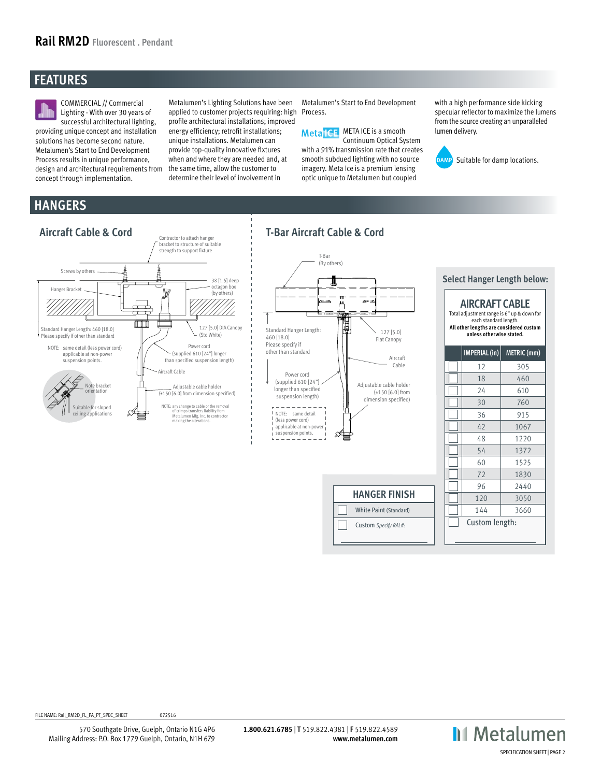## **FEATURES**



COMMERCIAL // Commercial Lighting - With over 30 years of successful architectural lighting,

providing unique concept and installation solutions has become second nature. Metalumen's Start to End Development Process results in unique performance, design and architectural requirements from concept through implementation.

Metalumen's Lighting Solutions have been applied to customer projects requiring: high profile architectural installations; improved energy efficiency; retrofit installations; unique installations. Metalumen can provide top-quality innovative fixtures when and where they are needed and, at the same time, allow the customer to determine their level of involvement in

Metalumen's Start to End Development Process.

Meta<sup>1</sup>CE META ICE is a smooth Continuum Optical System with a 91% transmission rate that creates smooth subdued lighting with no source imagery. Meta Ice is a premium lensing optic unique to Metalumen but coupled

with a high performance side kicking specular reflector to maximize the lumens from the source creating an unparalleled lumen delivery.



## **HANGERS**



FILE NAME: Rail\_RM2D\_FL\_PA\_PT\_SPEC\_SHEET 072516